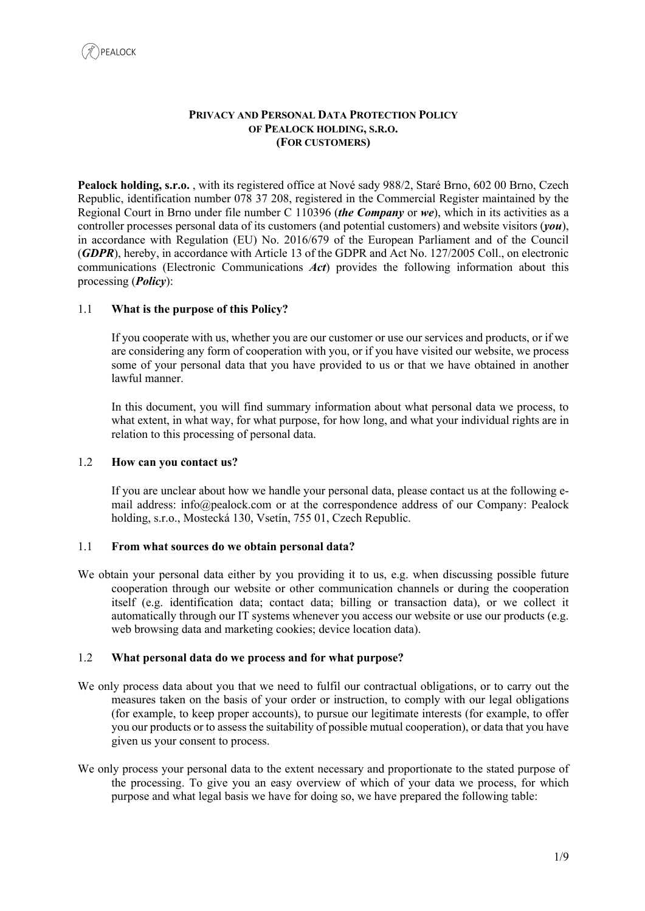### **PRIVACY AND PERSONAL DATA PROTECTION POLICY OF PEALOCK HOLDING, S.R.O. (FOR CUSTOMERS)**

**Pealock holding, s.r.o.** , with its registered office at Nové sady 988/2, Staré Brno, 602 00 Brno, Czech Republic, identification number 078 37 208, registered in the Commercial Register maintained by the Regional Court in Brno under file number C 110396 (*the Company* or *we*), which in its activities as a controller processes personal data of its customers (and potential customers) and website visitors (*you*), in accordance with Regulation (EU) No. 2016/679 of the European Parliament and of the Council (*GDPR*), hereby, in accordance with Article 13 of the GDPR and Act No. 127/2005 Coll., on electronic communications (Electronic Communications *Act*) provides the following information about this processing (*Policy*):

# 1.1 **What is the purpose of this Policy?**

If you cooperate with us, whether you are our customer or use our services and products, or if we are considering any form of cooperation with you, or if you have visited our website, we process some of your personal data that you have provided to us or that we have obtained in another lawful manner.

In this document, you will find summary information about what personal data we process, to what extent, in what way, for what purpose, for how long, and what your individual rights are in relation to this processing of personal data.

#### 1.2 **How can you contact us?**

If you are unclear about how we handle your personal data, please contact us at the following email address: info@pealock.com or at the correspondence address of our Company: Pealock holding, s.r.o., Mostecká 130, Vsetín, 755 01, Czech Republic.

#### 1.1 **From what sources do we obtain personal data?**

We obtain your personal data either by you providing it to us, e.g. when discussing possible future cooperation through our website or other communication channels or during the cooperation itself (e.g. identification data; contact data; billing or transaction data), or we collect it automatically through our IT systems whenever you access our website or use our products (e.g. web browsing data and marketing cookies; device location data).

#### 1.2 **What personal data do we process and for what purpose?**

- We only process data about you that we need to fulfil our contractual obligations, or to carry out the measures taken on the basis of your order or instruction, to comply with our legal obligations (for example, to keep proper accounts), to pursue our legitimate interests (for example, to offer you our products or to assess the suitability of possible mutual cooperation), or data that you have given us your consent to process.
- We only process your personal data to the extent necessary and proportionate to the stated purpose of the processing. To give you an easy overview of which of your data we process, for which purpose and what legal basis we have for doing so, we have prepared the following table: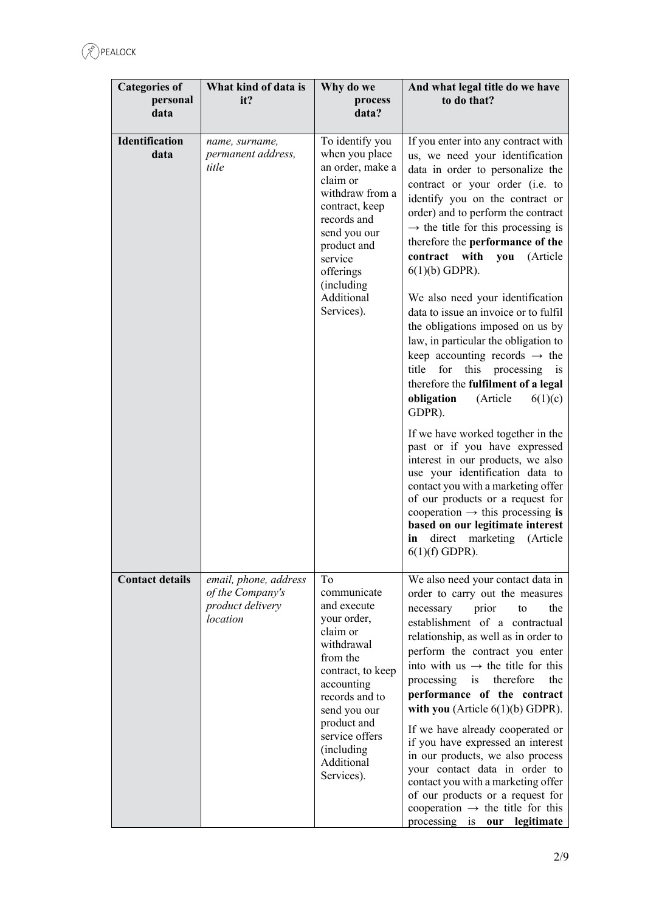| <b>Categories of</b><br>personal<br>data | What kind of data is<br>it?                                               | Why do we<br>process<br>data?                                                                                                                                                                                                          | And what legal title do we have<br>to do that?                                                                                                                                                                                                                                                                                                                                                                                                                                                                                                                                                                                                                                                                                                                                                                                                                                                                                                                                                                                                                                  |
|------------------------------------------|---------------------------------------------------------------------------|----------------------------------------------------------------------------------------------------------------------------------------------------------------------------------------------------------------------------------------|---------------------------------------------------------------------------------------------------------------------------------------------------------------------------------------------------------------------------------------------------------------------------------------------------------------------------------------------------------------------------------------------------------------------------------------------------------------------------------------------------------------------------------------------------------------------------------------------------------------------------------------------------------------------------------------------------------------------------------------------------------------------------------------------------------------------------------------------------------------------------------------------------------------------------------------------------------------------------------------------------------------------------------------------------------------------------------|
| Identification<br>data                   | name, surname,<br>permanent address,<br>title                             | To identify you<br>when you place<br>an order, make a<br>claim or<br>withdraw from a<br>contract, keep<br>records and<br>send you our<br>product and<br>service<br>offerings<br>(including)<br>Additional<br>Services).                | If you enter into any contract with<br>us, we need your identification<br>data in order to personalize the<br>contract or your order (i.e. to<br>identify you on the contract or<br>order) and to perform the contract<br>$\rightarrow$ the title for this processing is<br>therefore the performance of the<br>contract with<br>you<br>(Article<br>$6(1)(b)$ GDPR).<br>We also need your identification<br>data to issue an invoice or to fulfil<br>the obligations imposed on us by<br>law, in particular the obligation to<br>keep accounting records $\rightarrow$ the<br>this processing is<br>title<br>for<br>therefore the fulfilment of a legal<br>obligation<br>(Article<br>6(1)(c)<br>GDPR).<br>If we have worked together in the<br>past or if you have expressed<br>interest in our products, we also<br>use your identification data to<br>contact you with a marketing offer<br>of our products or a request for<br>cooperation $\rightarrow$ this processing is<br>based on our legitimate interest<br>direct<br>marketing<br>(Article<br>in<br>$6(1)(f)$ GDPR). |
| <b>Contact details</b>                   | email, phone, address<br>of the Company's<br>product delivery<br>location | To<br>communicate<br>and execute<br>your order,<br>claim or<br>withdrawal<br>from the<br>contract, to keep<br>accounting<br>records and to<br>send you our<br>product and<br>service offers<br>(including)<br>Additional<br>Services). | We also need your contact data in<br>order to carry out the measures<br>prior<br>the<br>necessary<br>to<br>establishment of a contractual<br>relationship, as well as in order to<br>perform the contract you enter<br>into with us $\rightarrow$ the title for this<br>processing is<br>therefore<br>the<br>performance of the contract<br>with you (Article $6(1)(b)$ GDPR).<br>If we have already cooperated or<br>if you have expressed an interest<br>in our products, we also process<br>your contact data in order to<br>contact you with a marketing offer<br>of our products or a request for<br>cooperation $\rightarrow$ the title for this<br>processing is our legitimate                                                                                                                                                                                                                                                                                                                                                                                          |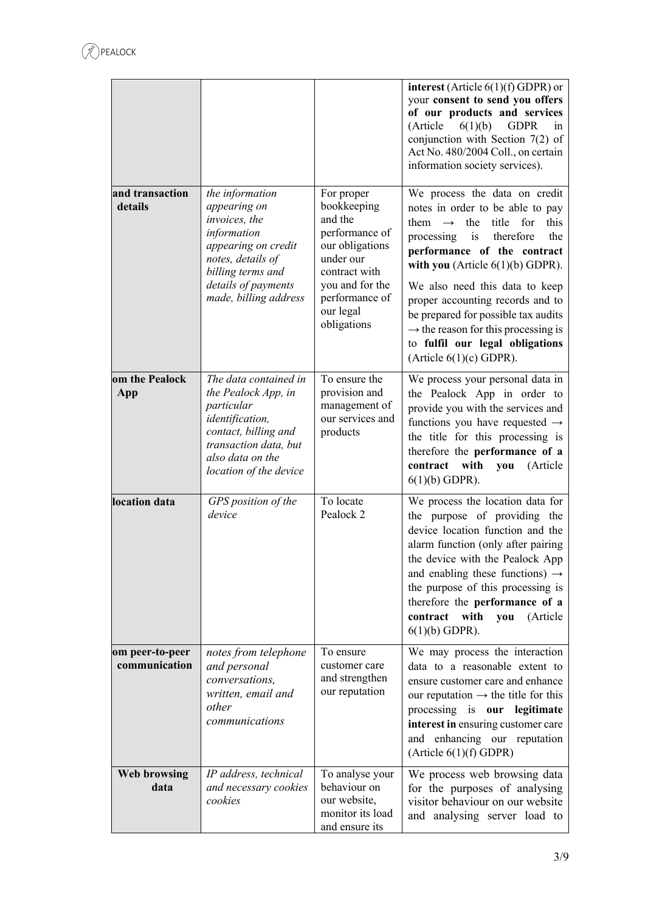|                                  |                                                                                                                                                                                  |                                                                                                                                                                          | interest (Article $6(1)(f)$ GDPR) or<br>your consent to send you offers<br>of our products and services<br>(Article)<br>6(1)(b)<br><b>GDPR</b><br>in<br>conjunction with Section $7(2)$ of<br>Act No. 480/2004 Coll., on certain<br>information society services).                                                                                                                                                                                                              |
|----------------------------------|----------------------------------------------------------------------------------------------------------------------------------------------------------------------------------|--------------------------------------------------------------------------------------------------------------------------------------------------------------------------|---------------------------------------------------------------------------------------------------------------------------------------------------------------------------------------------------------------------------------------------------------------------------------------------------------------------------------------------------------------------------------------------------------------------------------------------------------------------------------|
| and transaction<br>details       | the information<br>appearing on<br>invoices, the<br>information<br>appearing on credit<br>notes, details of<br>billing terms and<br>details of payments<br>made, billing address | For proper<br>bookkeeping<br>and the<br>performance of<br>our obligations<br>under our<br>contract with<br>you and for the<br>performance of<br>our legal<br>obligations | We process the data on credit<br>notes in order to be able to pay<br>this<br>them $\rightarrow$<br>the<br>title<br>for<br>processing<br>$\mathbf{i}$ s<br>therefore<br>the<br>performance of the contract<br>with you (Article $6(1)(b)$ GDPR).<br>We also need this data to keep<br>proper accounting records and to<br>be prepared for possible tax audits<br>$\rightarrow$ the reason for this processing is<br>to fulfil our legal obligations<br>(Article $6(1)(c)$ GDPR). |
| om the Pealock<br>App            | The data contained in<br>the Pealock App, in<br>particular<br>identification,<br>contact, billing and<br>transaction data, but<br>also data on the<br>location of the device     | To ensure the<br>provision and<br>management of<br>our services and<br>products                                                                                          | We process your personal data in<br>the Pealock App in order to<br>provide you with the services and<br>functions you have requested $\rightarrow$<br>the title for this processing is<br>therefore the performance of a<br>contract with<br>you<br>(Article<br>$6(1)(b)$ GDPR).                                                                                                                                                                                                |
| location data                    | GPS position of the<br>device                                                                                                                                                    | To locate<br>Pealock 2                                                                                                                                                   | We process the location data for<br>the purpose of providing the<br>device location function and the<br>alarm function (only after pairing<br>the device with the Pealock App<br>and enabling these functions) $\rightarrow$<br>the purpose of this processing is<br>therefore the performance of a<br>contract with<br>you<br>(Article<br>$6(1)(b)$ GDPR).                                                                                                                     |
| om peer-to-peer<br>communication | notes from telephone<br>and personal<br>conversations,<br>written, email and<br>other<br>communications                                                                          | To ensure<br>customer care<br>and strengthen<br>our reputation                                                                                                           | We may process the interaction<br>data to a reasonable extent to<br>ensure customer care and enhance<br>our reputation $\rightarrow$ the title for this<br>processing is our legitimate<br>interest in ensuring customer care<br>and enhancing our reputation<br>(Article 6(1)(f) GDPR)                                                                                                                                                                                         |
| <b>Web browsing</b><br>data      | IP address, technical<br>and necessary cookies<br>cookies                                                                                                                        | To analyse your<br>behaviour on<br>our website,<br>monitor its load<br>and ensure its                                                                                    | We process web browsing data<br>for the purposes of analysing<br>visitor behaviour on our website<br>and analysing server load to                                                                                                                                                                                                                                                                                                                                               |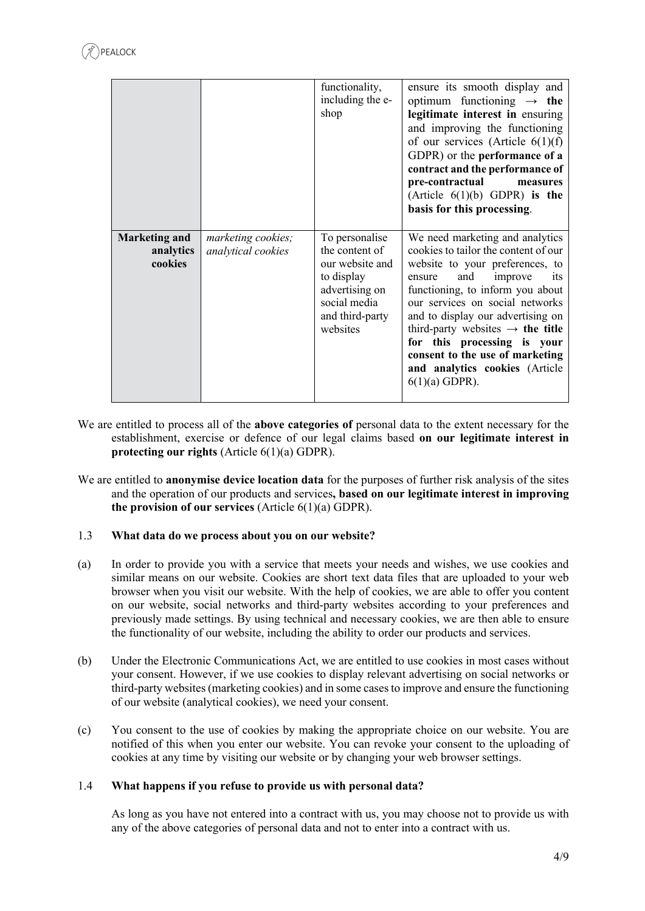|                                              |                                          | functionality,<br>including the e-<br>shop                                                                                         | ensure its smooth display and<br>optimum functioning $\rightarrow$ the<br>legitimate interest in ensuring<br>and improving the functioning<br>of our services (Article $6(1)(f)$<br>GDPR) or the performance of a<br>contract and the performance of<br>pre-contractual<br>measures<br>(Article $6(1)(b)$ GDPR) is the<br>basis for this processing.                                                                              |
|----------------------------------------------|------------------------------------------|------------------------------------------------------------------------------------------------------------------------------------|-----------------------------------------------------------------------------------------------------------------------------------------------------------------------------------------------------------------------------------------------------------------------------------------------------------------------------------------------------------------------------------------------------------------------------------|
| <b>Marketing and</b><br>analytics<br>cookies | marketing cookies;<br>analytical cookies | To personalise<br>the content of<br>our website and<br>to display<br>advertising on<br>social media<br>and third-party<br>websites | We need marketing and analytics<br>cookies to tailor the content of our<br>website to your preferences, to<br>and<br>improve<br>its<br>ensure<br>functioning, to inform you about<br>our services on social networks<br>and to display our advertising on<br>third-party websites $\rightarrow$ the title<br>for this processing is your<br>consent to the use of marketing<br>and analytics cookies (Article<br>$6(1)(a)$ GDPR). |

- We are entitled to process all of the **above categories of** personal data to the extent necessary for the establishment, exercise or defence of our legal claims based **on our legitimate interest in protecting our rights** (Article 6(1)(a) GDPR).
- We are entitled to **anonymise device location data** for the purposes of further risk analysis of the sites and the operation of our products and services**, based on our legitimate interest in improving the provision of our services** (Article 6(1)(a) GDPR).

# 1.3 **What data do we process about you on our website?**

- (a) In order to provide you with a service that meets your needs and wishes, we use cookies and similar means on our website. Cookies are short text data files that are uploaded to your web browser when you visit our website. With the help of cookies, we are able to offer you content on our website, social networks and third-party websites according to your preferences and previously made settings. By using technical and necessary cookies, we are then able to ensure the functionality of our website, including the ability to order our products and services.
- (b) Under the Electronic Communications Act, we are entitled to use cookies in most cases without your consent. However, if we use cookies to display relevant advertising on social networks or third-party websites (marketing cookies) and in some cases to improve and ensure the functioning of our website (analytical cookies), we need your consent.
- (c) You consent to the use of cookies by making the appropriate choice on our website. You are notified of this when you enter our website. You can revoke your consent to the uploading of cookies at any time by visiting our website or by changing your web browser settings.

# 1.4 **What happens if you refuse to provide us with personal data?**

As long as you have not entered into a contract with us, you may choose not to provide us with any of the above categories of personal data and not to enter into a contract with us.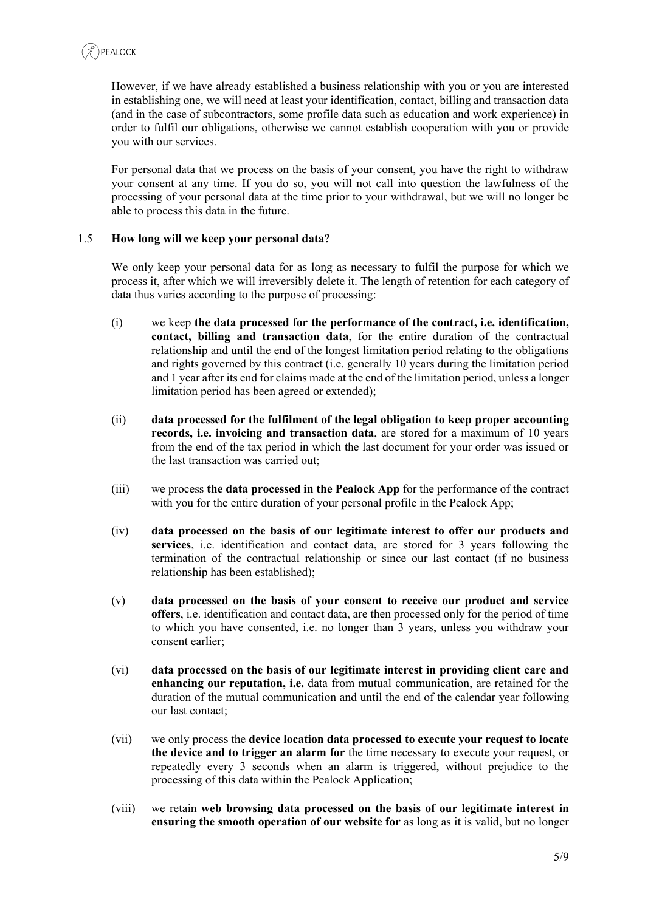However, if we have already established a business relationship with you or you are interested in establishing one, we will need at least your identification, contact, billing and transaction data (and in the case of subcontractors, some profile data such as education and work experience) in order to fulfil our obligations, otherwise we cannot establish cooperation with you or provide you with our services.

For personal data that we process on the basis of your consent, you have the right to withdraw your consent at any time. If you do so, you will not call into question the lawfulness of the processing of your personal data at the time prior to your withdrawal, but we will no longer be able to process this data in the future.

## 1.5 **How long will we keep your personal data?**

We only keep your personal data for as long as necessary to fulfil the purpose for which we process it, after which we will irreversibly delete it. The length of retention for each category of data thus varies according to the purpose of processing:

- (i) we keep **the data processed for the performance of the contract, i.e. identification, contact, billing and transaction data**, for the entire duration of the contractual relationship and until the end of the longest limitation period relating to the obligations and rights governed by this contract (i.e. generally 10 years during the limitation period and 1 year after its end for claims made at the end of the limitation period, unless a longer limitation period has been agreed or extended);
- (ii) **data processed for the fulfilment of the legal obligation to keep proper accounting records, i.e. invoicing and transaction data**, are stored for a maximum of 10 years from the end of the tax period in which the last document for your order was issued or the last transaction was carried out;
- (iii) we process **the data processed in the Pealock App** for the performance of the contract with you for the entire duration of your personal profile in the Pealock App;
- (iv) **data processed on the basis of our legitimate interest to offer our products and services**, i.e. identification and contact data, are stored for 3 years following the termination of the contractual relationship or since our last contact (if no business relationship has been established);
- (v) **data processed on the basis of your consent to receive our product and service offers**, i.e. identification and contact data, are then processed only for the period of time to which you have consented, i.e. no longer than 3 years, unless you withdraw your consent earlier;
- (vi) **data processed on the basis of our legitimate interest in providing client care and enhancing our reputation, i.e.** data from mutual communication, are retained for the duration of the mutual communication and until the end of the calendar year following our last contact;
- (vii) we only process the **device location data processed to execute your request to locate the device and to trigger an alarm for** the time necessary to execute your request, or repeatedly every 3 seconds when an alarm is triggered, without prejudice to the processing of this data within the Pealock Application;
- (viii) we retain **web browsing data processed on the basis of our legitimate interest in ensuring the smooth operation of our website for** as long as it is valid, but no longer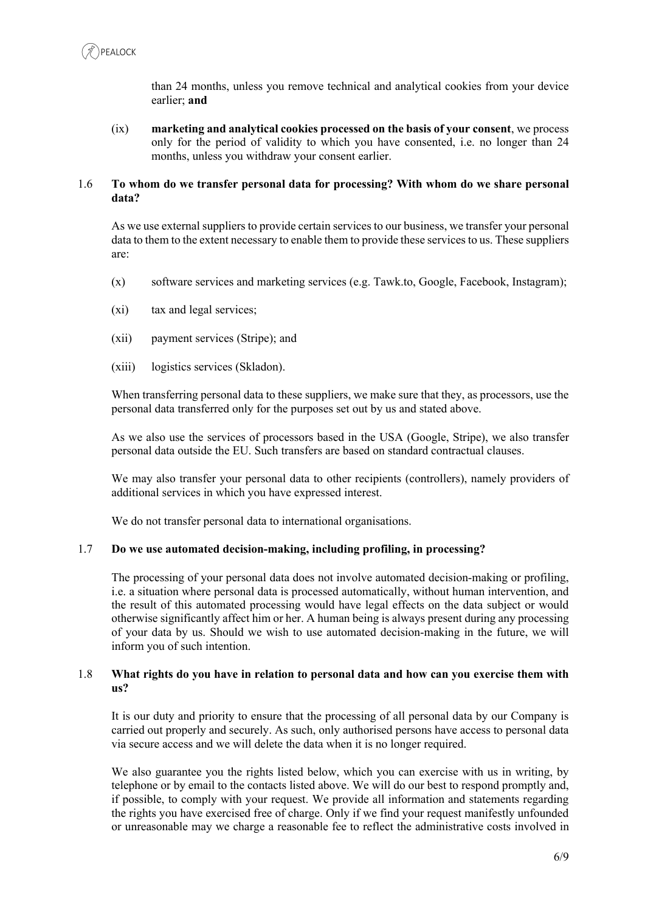than 24 months, unless you remove technical and analytical cookies from your device earlier; **and** 

(ix) **marketing and analytical cookies processed on the basis of your consent**, we process only for the period of validity to which you have consented, i.e. no longer than 24 months, unless you withdraw your consent earlier.

### 1.6 **To whom do we transfer personal data for processing? With whom do we share personal data?**

As we use external suppliers to provide certain services to our business, we transfer your personal data to them to the extent necessary to enable them to provide these services to us. These suppliers are:

- (x) software services and marketing services (e.g. Tawk.to, Google, Facebook, Instagram);
- (xi) tax and legal services;
- (xii) payment services (Stripe); and
- (xiii) logistics services (Skladon).

When transferring personal data to these suppliers, we make sure that they, as processors, use the personal data transferred only for the purposes set out by us and stated above.

As we also use the services of processors based in the USA (Google, Stripe), we also transfer personal data outside the EU. Such transfers are based on standard contractual clauses.

We may also transfer your personal data to other recipients (controllers), namely providers of additional services in which you have expressed interest.

We do not transfer personal data to international organisations.

#### 1.7 **Do we use automated decision-making, including profiling, in processing?**

The processing of your personal data does not involve automated decision-making or profiling, i.e. a situation where personal data is processed automatically, without human intervention, and the result of this automated processing would have legal effects on the data subject or would otherwise significantly affect him or her. A human being is always present during any processing of your data by us. Should we wish to use automated decision-making in the future, we will inform you of such intention.

#### 1.8 **What rights do you have in relation to personal data and how can you exercise them with us?**

It is our duty and priority to ensure that the processing of all personal data by our Company is carried out properly and securely. As such, only authorised persons have access to personal data via secure access and we will delete the data when it is no longer required.

We also guarantee you the rights listed below, which you can exercise with us in writing, by telephone or by email to the contacts listed above. We will do our best to respond promptly and, if possible, to comply with your request. We provide all information and statements regarding the rights you have exercised free of charge. Only if we find your request manifestly unfounded or unreasonable may we charge a reasonable fee to reflect the administrative costs involved in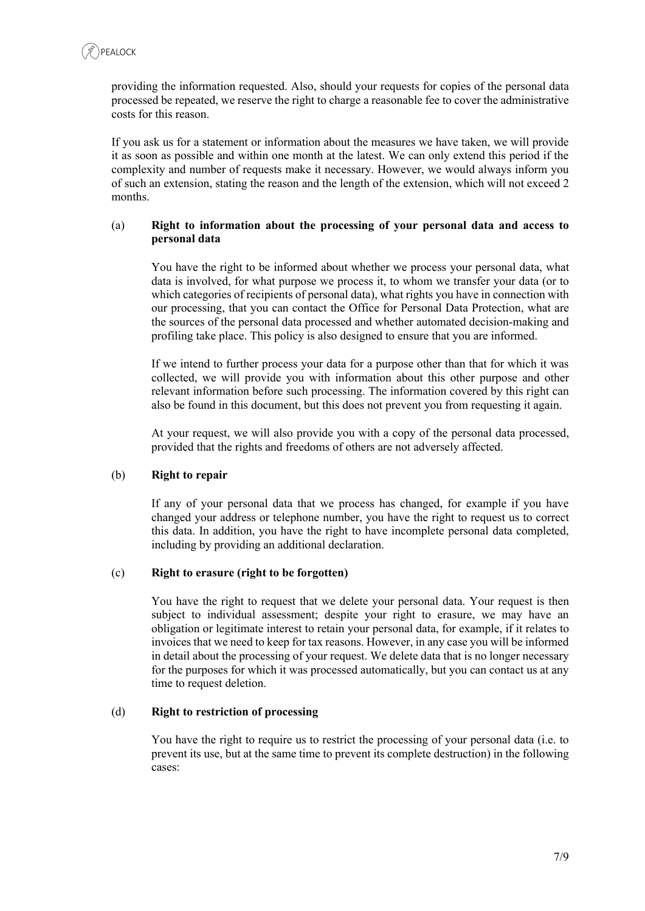providing the information requested. Also, should your requests for copies of the personal data processed be repeated, we reserve the right to charge a reasonable fee to cover the administrative costs for this reason.

If you ask us for a statement or information about the measures we have taken, we will provide it as soon as possible and within one month at the latest. We can only extend this period if the complexity and number of requests make it necessary. However, we would always inform you of such an extension, stating the reason and the length of the extension, which will not exceed 2 months.

### (a) **Right to information about the processing of your personal data and access to personal data**

You have the right to be informed about whether we process your personal data, what data is involved, for what purpose we process it, to whom we transfer your data (or to which categories of recipients of personal data), what rights you have in connection with our processing, that you can contact the Office for Personal Data Protection, what are the sources of the personal data processed and whether automated decision-making and profiling take place. This policy is also designed to ensure that you are informed.

If we intend to further process your data for a purpose other than that for which it was collected, we will provide you with information about this other purpose and other relevant information before such processing. The information covered by this right can also be found in this document, but this does not prevent you from requesting it again.

At your request, we will also provide you with a copy of the personal data processed, provided that the rights and freedoms of others are not adversely affected.

#### (b) **Right to repair**

If any of your personal data that we process has changed, for example if you have changed your address or telephone number, you have the right to request us to correct this data. In addition, you have the right to have incomplete personal data completed, including by providing an additional declaration.

#### (c) **Right to erasure (right to be forgotten)**

You have the right to request that we delete your personal data. Your request is then subject to individual assessment; despite your right to erasure, we may have an obligation or legitimate interest to retain your personal data, for example, if it relates to invoices that we need to keep for tax reasons. However, in any case you will be informed in detail about the processing of your request. We delete data that is no longer necessary for the purposes for which it was processed automatically, but you can contact us at any time to request deletion.

#### (d) **Right to restriction of processing**

You have the right to require us to restrict the processing of your personal data (i.e. to prevent its use, but at the same time to prevent its complete destruction) in the following cases: